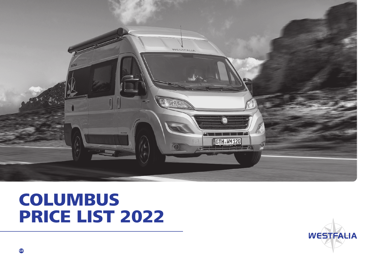

# COLUMBUS PRICE LIST 2022

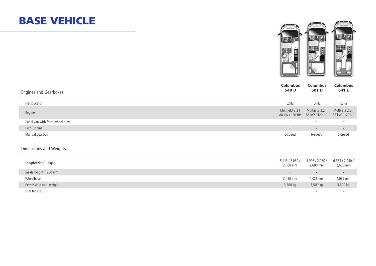#### BASE VEHICLE



| Engines and Gearboxes            | <b>Columbus</b><br><b>Columbus</b><br>540 D<br>601 D                   | <b>Columbus</b><br>641 E          |
|----------------------------------|------------------------------------------------------------------------|-----------------------------------|
| Fiat Ducato                      | L2H2<br>L4H2                                                           | L5H2                              |
| Engine                           | Multijet3 2.2 l<br>Multijet3 2.2 l<br>88 kW / 120 HP<br>88 kW / 120 HP | Multijet3 2.2 l<br>88 kW / 120 HP |
| Panel van with front-wheel drive | $\bullet$<br>$\bullet$                                                 | $\bullet$                         |
| Euro-6d final                    | $\bullet$<br>$\bullet$                                                 | $\bullet$                         |
| Manual gearbox                   | 6-speed<br>6-speed                                                     | 6-speed                           |
| Dimensions and Weights           |                                                                        |                                   |
| Length/Width/Height              | 5,413 / 2,050 /<br>5,998 / 2,050 /<br>2,600 mm<br>$2,600$ mm           | 6,363 / 2,050 /<br>2,600 mm       |
| Inside height 1,900 mm           | $\bullet$<br>$\bullet$                                                 | $\bullet$                         |
| Wheelbase                        | 3,450 mm<br>4,035 mm                                                   | 4,035 mm                          |
| Permissible total weight         | 3,500 kg<br>3,500 kg                                                   | 3,500 kg                          |
| Fuel tank 90 l                   | $\bullet$<br>$\bullet$                                                 | $\bullet$                         |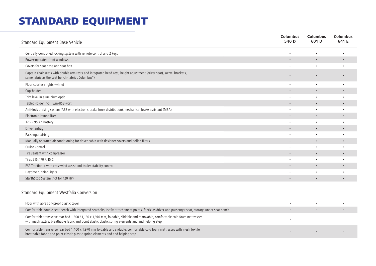#### STANDARD EQUIPMENT

| Standard Equipment Base Vehicle                                                                                                                                            | <b>Columbus</b><br>540 D | <b>Columbus</b><br>601 D | <b>Columbus</b><br>641 E |
|----------------------------------------------------------------------------------------------------------------------------------------------------------------------------|--------------------------|--------------------------|--------------------------|
| Centrally-controlled locking system with remote control and 2 keys                                                                                                         | ٠                        | $\bullet$                | $\bullet$                |
| Power-operated front windows                                                                                                                                               | $\bullet$                | $\bullet$                | $\bullet$                |
| Covers for seat base and seat box                                                                                                                                          |                          | $\bullet$                | $\bullet$                |
| Captain chair seats with double arm rests and integrated head-rest, height adjustment (driver seat), swivel brackets,<br>same fabric as the seat bench (fabric "Columbus") |                          |                          | $\bullet$                |
| Floor courtesy lights (white)                                                                                                                                              | ٠                        | $\bullet$                | $\bullet$                |
| Cup-holder                                                                                                                                                                 | $\bullet$                | $\bullet$                | $\bullet$                |
| Trim level in aluminium optic                                                                                                                                              | ٠                        | $\bullet$                | $\bullet$                |
| Tablet Holder incl. Twin-USB-Port                                                                                                                                          | $\bullet$                | $\bullet$                | $\bullet$                |
| Anti-lock braking system (ABS with electronic brake force distribution), mechanical brake assistant (MBA)                                                                  | ٠                        | $\bullet$                | ٠                        |
| Electronic immobilizer                                                                                                                                                     |                          | $\bullet$                | $\bullet$                |
| 12 V / 95 Ah Battery                                                                                                                                                       | ٠                        | $\bullet$                | $\bullet$                |
| Driver airbag                                                                                                                                                              | $\bullet$                | $\bullet$                | $\bullet$                |
| Passenger airbag                                                                                                                                                           | ٠                        | $\bullet$                | $\bullet$                |
| Manually operated air conditioning for driver cabin with designer covers and pollen filters                                                                                | $\bullet$                | $\bullet$                | $\bullet$                |
| Cruise Control                                                                                                                                                             | ٠                        | $\bullet$                |                          |
| Tire sealant with compressor                                                                                                                                               |                          | $\bullet$                | $\bullet$                |
| Tires 215 / 70 R 15 C                                                                                                                                                      | ٠                        | $\bullet$                | $\bullet$                |
| ESP Traction + with crosswind assist and trailer stability control                                                                                                         | $\bullet$                | $\bullet$                | $\bullet$                |
| Daytime running lights                                                                                                                                                     | ٠                        | $\bullet$                | $\bullet$                |
| Start&Stop System (not for 120 HP)                                                                                                                                         | $\bullet$                | $\bullet$                | $\bullet$                |
| Standard Equipment Westfalia Conversion                                                                                                                                    |                          |                          |                          |

| Floor with abrasion-proof plastic cover                                                                                                                                                                                             |  |  |
|-------------------------------------------------------------------------------------------------------------------------------------------------------------------------------------------------------------------------------------|--|--|
| Comfortable double seat bench with integrated seatbelts, Isofix-attachement points, fabric as driver and passenger seat, storage under seat bench                                                                                   |  |  |
| Comfortable transverse rear bed 1,300 / 1,150 x 1,970 mm, foldable, slidable and removable, comfortable cold foam mattresses<br>with mesh textile, breathable fabric and point elastic plastic spring elements and and helping step |  |  |
| Comfortable transverse rear bed 1,400 x 1,970 mm foldable and slidable, comfortable cold foam mattresses with mesh textile,<br>breathable fabric and point elastic plastic spring elements and and helping step                     |  |  |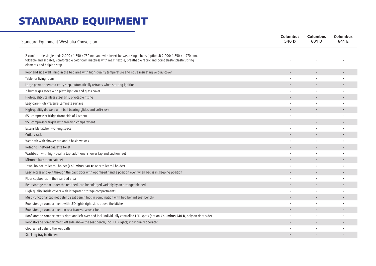#### STANDARD EQUIPMENT

| Standard Equipment Westfalia Conversion                                                                                                                                                                                                                                              | <b>Columbus</b><br>540 D | <b>Columbus</b><br>601 D | <b>Columbus</b><br>641 E |
|--------------------------------------------------------------------------------------------------------------------------------------------------------------------------------------------------------------------------------------------------------------------------------------|--------------------------|--------------------------|--------------------------|
| 2 comfortable single beds 2,000 / 1,850 x 750 mm and with insert between single beds (optional) 2,000/ 1,850 x 1,970 mm,<br>foldable and slidable, comfortable cold foam mattress with mesh textile, breathable fabric and point elastic plastic spring<br>elements and helping step |                          |                          |                          |
| Roof and side wall lining in the bed area with high-quality temperature and noise insulating velours cover                                                                                                                                                                           |                          |                          |                          |
| Table for living room                                                                                                                                                                                                                                                                |                          |                          |                          |
| Large power-operated entry step, automatically retracts when starting ignition                                                                                                                                                                                                       |                          | $\bullet$                |                          |
| 2-burner gas stove with piezo ignition and glass cover                                                                                                                                                                                                                               |                          |                          |                          |
| High-quality stainless steel sink, pivotable fitting                                                                                                                                                                                                                                 |                          |                          |                          |
| Easy-care High Pressure Laminate surface                                                                                                                                                                                                                                             |                          |                          |                          |
| High-qualitiy drawers with ball bearing glides and soft-close                                                                                                                                                                                                                        |                          |                          |                          |
| 65   compressor fridge (front side of kitchen)                                                                                                                                                                                                                                       |                          |                          |                          |
| 95 I compressor frigde with freezing compartment                                                                                                                                                                                                                                     |                          |                          |                          |
| Extensible kitchen working space                                                                                                                                                                                                                                                     |                          |                          |                          |
| Cutlery rack                                                                                                                                                                                                                                                                         |                          | $\bullet$                |                          |
| Wet bath with shower tub and 2 basin wastes                                                                                                                                                                                                                                          |                          | $\bullet$                |                          |
| Rotating Thetford cassette toilet                                                                                                                                                                                                                                                    |                          |                          |                          |
| Washbasin with high-quality tap, additional shower tap and suction feet                                                                                                                                                                                                              |                          |                          |                          |
| Mirrored bathroom cabinet                                                                                                                                                                                                                                                            |                          |                          |                          |
| Towel holder, toilet roll holder (Columbus 540 D: only toilet roll holder)                                                                                                                                                                                                           | $\bullet$                | ٠                        |                          |
| Easy access and exit through the back door with optimised handle position even when bed is in sleeping position                                                                                                                                                                      |                          |                          |                          |
| Floor cupboards in the rear bed area                                                                                                                                                                                                                                                 |                          |                          |                          |
| Rear storage room under the rear bed, can be enlarged variably by an arrangeable bed                                                                                                                                                                                                 |                          | $\bullet$                |                          |
| High-quality inside covers with integrated storage compartments                                                                                                                                                                                                                      |                          |                          |                          |
| Multi-functional cabinet behind seat bench (not in combination with bed behind seat bench)                                                                                                                                                                                           |                          | $\bullet$                |                          |
| Roof storage compartment with LED lights right side, above the kitchen                                                                                                                                                                                                               |                          |                          |                          |
| Roof storage compartment in rear transverse over bed                                                                                                                                                                                                                                 |                          |                          |                          |
| Roof storage compartments right and left over bed incl. individually controlled LED-spots (not on Columbus 540 D, only on right side)                                                                                                                                                |                          |                          |                          |
| Roof storage compartment left side above the seat bench, incl. LED lights; individually operated                                                                                                                                                                                     |                          | $\bullet$                |                          |
| Clothes rail behind the wet bath                                                                                                                                                                                                                                                     |                          |                          |                          |
| Stacking tray in kitchen                                                                                                                                                                                                                                                             |                          |                          |                          |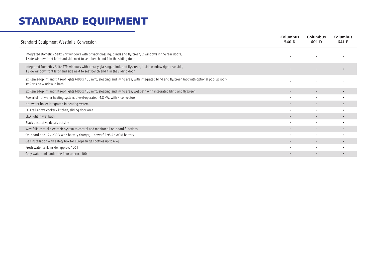#### STANDARD EQUIPMENT

| Standard Equipment Westfalia Conversion                                                                                                                                                               | <b>Columbus</b><br>540 D | <b>Columbus</b><br>601 D | <b>Columbus</b><br>641 E |
|-------------------------------------------------------------------------------------------------------------------------------------------------------------------------------------------------------|--------------------------|--------------------------|--------------------------|
| Integrated Dometic / Seitz S7P windows with privacy glassing, blinds and flyscreen, 2 windows in the rear doors,<br>1 side window front left-hand side next to seat bench and 1 in the sliding door   |                          |                          |                          |
| Integrated Dometic / Seitz S7P windows with privacy glassing, blinds and flyscreen, 1 side window right rear side,<br>1 side window front left-hand side next to seat bench and 1 in the sliding door |                          |                          |                          |
| 2x Remis-Top lift and tilt roof lights (400 x 400 mm), sleeping and living area, with integrated blind and flyscreen (not with optional pop-up roof),<br>1x S7P side window in bath                   |                          |                          |                          |
| 3x Remis-Top lift and tilt roof lights (400 x 400 mm), sleeping and living area, wet bath with integrated blind and flyscreen                                                                         |                          | $\bullet$                | $\bullet$                |
| Powerful hot water heating system, diesel-operated, 4.8 kW, with 4 convectors                                                                                                                         | $\bullet$                | $\bullet$                | $\bullet$                |
| Hot water boiler integrated in heating system                                                                                                                                                         | $\bullet$                | $\bullet$                | $\bullet$                |
| LED rail above cooker / kitchen, sliding door area                                                                                                                                                    | ٠                        | $\bullet$                | $\bullet$                |
| LED light in wet bath                                                                                                                                                                                 |                          |                          | $\bullet$                |
| Black decorative decals outside                                                                                                                                                                       |                          | $\bullet$                |                          |
| Westfalia central electronic system to control and monitor all on-board functions                                                                                                                     | $\bullet$                | $\bullet$                | $\bullet$                |
| On-board grid 12 / 230 V with battery charger, 1 powerful 95 Ah AGM battery                                                                                                                           |                          | $\bullet$                |                          |
| Gas installation with safety box for European gas bottles up to 6 kg                                                                                                                                  |                          |                          | $\bullet$                |
| Fresh water tank inside, approx. 100 l                                                                                                                                                                |                          | $\bullet$                | $\bullet$                |
| Grey water tank under the floor approx. 100 l                                                                                                                                                         | $\bullet$                | $\bullet$                | $\bullet$                |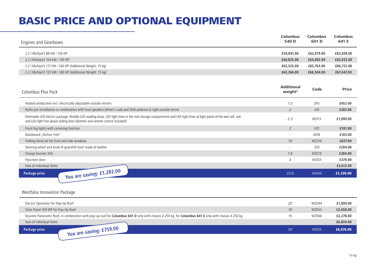## BASIC PRICE AND OPTIONAL EQUIPMENT

| <b>Engines and Gearboxes</b>                                                                                                                                                                                                                     | <b>Columbus</b><br>540 D     | <b>Columbus</b><br>601 D | <b>Columbus</b><br>641 E |
|--------------------------------------------------------------------------------------------------------------------------------------------------------------------------------------------------------------------------------------------------|------------------------------|--------------------------|--------------------------|
| 2.2   Multijet3 88 kW / 120 HP                                                                                                                                                                                                                   | £58,841.00                   | £62,079.00               | £63,028.00               |
| 2.2   Multijet3 104 kW / 140 HP                                                                                                                                                                                                                  | £60,835.00                   | £64,082.00               | £65,032.00               |
| 2.2   Multijet3 117 kW / 160 HP (Additional Weight: 15 kg)                                                                                                                                                                                       | £62,525.00                   | £65,763.00               | £66,712.00               |
| 2.2   Multijet3 132 kW / 180 HP (Additional Weight: 15 kg)                                                                                                                                                                                       | £63,266.00                   | £66,504.00               | £67,447.00               |
| Columbus Plus Pack                                                                                                                                                                                                                               | <b>Additional</b><br>weight* | Code                     | <b>Price</b>             |
| Heated windscreen incl. electrically adjustable outside mirrors                                                                                                                                                                                  | 1.5                          | 2PU                      | £452.00                  |
| Radio pre-installation in combination with loud speakers (driver's cab) and DAB antenna in right outside mirror                                                                                                                                  | $\overline{2}$               | 3J <sub>O</sub>          | £283.00                  |
| Dimmable LED electric package: flexible LED reading lamp, LED light lines in the roof storage compartment and LED light lines at light panel of the wet cell, rain<br>and LED light line above sliding door (dimmer and remote control included) | 2.5                          | <b>WZI13</b>             | £1,099.00                |
| Front fog lights with cornering function                                                                                                                                                                                                         | $\overline{a}$               | <b>LPZ</b>               | £181.00                  |
| Dashboard "Techno Trim"                                                                                                                                                                                                                          | $\overline{\phantom{a}}$     | 0XW                      | £103.00                  |
| Folding blind set for front and side windows                                                                                                                                                                                                     | 10                           | WZZ10                    | £627.00                  |
| Steering wheel and knob of gearshift lever made of leather                                                                                                                                                                                       | $\sim$                       | 320                      | £204.00                  |
| Charge booster 20A                                                                                                                                                                                                                               | 1.6                          | WZE19                    | £284.00                  |
| Flyscreen door                                                                                                                                                                                                                                   | 4                            | <b>WZI03</b>             | £379.00                  |
| Sum of individual items                                                                                                                                                                                                                          |                              |                          | £3,612.00                |
| You are saving: £1,282.00<br>Package price                                                                                                                                                                                                       | 23.6                         | VKD44                    | £2,330.00                |

#### Westfalia Innovation Package

| Electric Operation for Pop-Up Roof                                                                                                                   | 25 | WZD44 | £1,899.00 |
|------------------------------------------------------------------------------------------------------------------------------------------------------|----|-------|-----------|
| Solar Panel 350 WP for Pop-Up Roof                                                                                                                   | 10 | WZD55 | £2,658.00 |
| Skyview Panoramic Roof, in combination with pop-up roof for Columbus 601 D only with chassis 4.250 kg, for Columbus 641 E only with chassis 4.250 kg |    | WZD66 | £2,278.00 |
| Sum of individual items                                                                                                                              |    |       | £6,834.00 |
| $\rightarrow$ You are saving: £759.00<br>Package price                                                                                               | 50 | VKD33 | £6,076.00 |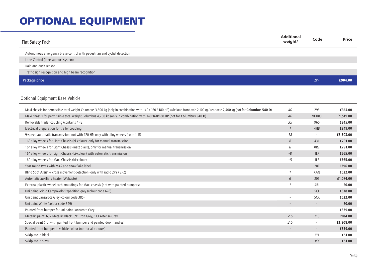| Fiat Safety Pack                                                                                                                                                                                                                                                                                                      | <b>Additional</b><br>weight* | Code                     | <b>Price</b>         |
|-----------------------------------------------------------------------------------------------------------------------------------------------------------------------------------------------------------------------------------------------------------------------------------------------------------------------|------------------------------|--------------------------|----------------------|
| Autonomous emergency brake control with pedestrian and cyclist detection                                                                                                                                                                                                                                              |                              |                          |                      |
| Lane Control (lane support system)                                                                                                                                                                                                                                                                                    |                              |                          |                      |
| Rain and dusk sensor                                                                                                                                                                                                                                                                                                  |                              |                          |                      |
| Traffic sign recognition and high beam recognition                                                                                                                                                                                                                                                                    |                              |                          |                      |
| <b>Package price</b>                                                                                                                                                                                                                                                                                                  |                              | 2PP                      | £904.00              |
| Optional Equipment Base Vehicle                                                                                                                                                                                                                                                                                       |                              |                          |                      |
|                                                                                                                                                                                                                                                                                                                       |                              |                          |                      |
| Maxi chassis for permissible total weight Columbus 3,500 kg (only in combination with 140 / 160 / 180 HP) axle load front axle 2,100kg / rear axle 2,400 kg (not for Columbus 540 D)<br>Maxi chassis for permissible total weight Columbus 4,250 kg (only in combination with 140/160/180 HP (not for Columbus 540 D) | 40<br>40                     | 295<br>VKH03             | £367.00<br>£1,519.00 |
| Removable trailer coupling (contains 4HB)                                                                                                                                                                                                                                                                             | 35                           | 960                      | £845.00              |
| Electrical preparation for trailer coupling                                                                                                                                                                                                                                                                           | $\mathcal{I}$                | 4HB                      | £249.00              |
| 9-speed automatic transmission, not with 120 HP, only with alloy wheels (code 1LR)                                                                                                                                                                                                                                    | 18                           | $\overline{\phantom{a}}$ | £3,503.00            |
| 16" alloy wheels for Light Chassis (bi-colour), only for manual transmission                                                                                                                                                                                                                                          | $\boldsymbol{\mathcal{S}}$   | 431                      | £791.00              |
| 16" alloy wheels for Light Chassis (matt black), only for manual transmission                                                                                                                                                                                                                                         | 8                            | 0R2                      | £791.00              |
| 16" alloy wheels for Light Chassis (bi-colour) with automatic transmission                                                                                                                                                                                                                                            | $-8$                         | 1LR                      | £565.00              |
| 16" alloy wheels for Maxi Chassis (bi-colour)                                                                                                                                                                                                                                                                         | -8                           | 1LR                      | £565.00              |
| Year-round tyres with M+S and snowflake label                                                                                                                                                                                                                                                                         |                              | <b>28T</b>               | £396.00              |
| Blind Spot Assist + cross movement detection (only with radio 2PY / 2PZ)                                                                                                                                                                                                                                              | $\mathcal{I}$                | XAN                      | £622.00              |
| Automatic auxiliary heater (Webasto)                                                                                                                                                                                                                                                                                  | 6                            | 205                      | £1,074.00            |
| External plastic wheel arch mouldings for Maxi chassis (not with painted bumpers)                                                                                                                                                                                                                                     | $\mathcal{I}$                | 4BJ                      | £0.00                |
| Uni paint Grigio Campovolo/Expedition grey (colour code 676)                                                                                                                                                                                                                                                          |                              | 5CL                      | £678.00              |
| Uni paint Lanzarote Grey (colour code 385)                                                                                                                                                                                                                                                                            | $\overline{\phantom{a}}$     | 5CK                      | £622.00              |
| Uni paint White (colour code 549)                                                                                                                                                                                                                                                                                     |                              | $\overline{\phantom{a}}$ | £0.00                |
| Painted front bumper for uni paint Lanzarote Grey                                                                                                                                                                                                                                                                     | $\overline{\phantom{a}}$     | $\overline{\phantom{a}}$ | £339.00              |
| Metallic paint: 632 Metallic Black, 691 Iron Grey, 113 Artense Grey                                                                                                                                                                                                                                                   | 2.5                          | 210                      | £904.00              |
| Special paint (not with painted front bumper and painted door handles)                                                                                                                                                                                                                                                | 2.5                          | $\sim$                   | £1,808.00            |
| Painted front bumper in vehicle colour (not for all colours)                                                                                                                                                                                                                                                          |                              | $\overline{\phantom{a}}$ | £339.00              |
| Skidplate in black                                                                                                                                                                                                                                                                                                    | $\overline{\phantom{a}}$     | 3YL                      | £51.00               |
|                                                                                                                                                                                                                                                                                                                       |                              |                          |                      |
| Skidplate in silver                                                                                                                                                                                                                                                                                                   |                              | 3YK                      | £51.00               |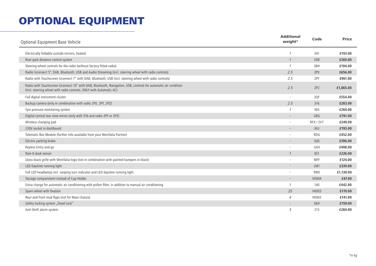| Optional Equipment Base Vehicle                                                                                                                                                      | <b>Additional</b><br>weight* | Code             | <b>Price</b> |
|--------------------------------------------------------------------------------------------------------------------------------------------------------------------------------------|------------------------------|------------------|--------------|
| Electrically foldable outside mirrors, heated                                                                                                                                        | $\mathcal I$                 | 341              | £193.00      |
| Rear park distance control system                                                                                                                                                    | $\mathcal{I}$                | 508              | £260.00      |
| Steering wheel controls for the radio (without factory fitted radio)                                                                                                                 | $\mathcal{I}$                | 5BH              | £104.00      |
| Radio Uconnect 5", DAB, Bluetooth, USB and Audio Streaming (incl. steering wheel with radio controls)                                                                                | 2.5                          | 2PX              | £656.00      |
| Radio with Touchscreen Uconnect 7" with DAB, Bluetooth, USB (incl. steering wheel with radio controls)                                                                               | 2.5                          | 2PY              | £961.00      |
| Radio with Touchscreen Uconnect 10" with DAB, Bluetooth, Navigation, USB, controls for automatic air condition<br>(incl. steering wheel with radio controls, ONLY with Automatic AC) | 2.5                          | 2PZ              | £1,865.00    |
| Full digital instrument cluster                                                                                                                                                      |                              | 2QF              | £554.00      |
| Backup camera (only in combination with radio 2PX, 2PY, 2PZ)                                                                                                                         | 2.5                          | 316              | £283.00      |
| Tyre pressure monitoring system                                                                                                                                                      | 1                            | 365              | £260.00      |
| Digital central rear view mirror (only with 316 and radio 2PY or 2PZ)                                                                                                                |                              | GRG              | £791.00      |
| Wireless charging pad                                                                                                                                                                | ÷.                           | <b>RFX / 2V7</b> | £249.00      |
| 230V socket in dashboard                                                                                                                                                             | $\overline{\phantom{a}}$     | <b>JKU</b>       | £193.00      |
| Telematic Box Module (further info available from your Westfalia Partner)                                                                                                            | $\overline{\phantom{a}}$     | RDG              | £452.00      |
| Electric parking brake                                                                                                                                                               |                              | 026              | £396.00      |
| Keyless Entry and go                                                                                                                                                                 |                              | GX4              | £498.00      |
| Rain & dusk sensor                                                                                                                                                                   | $\mathcal{I}$                | 051              | £226.00      |
| Gloss black grille with Westfalia-logo (not in combination with painted bumpers in black)                                                                                            | $\overline{\phantom{a}}$     | <b>MFF</b>       | £124.00      |
| LED Daytime running light                                                                                                                                                            |                              | LM1              | £339.00      |
| Full LED headlamps incl. swiping turn indicator and LED daytime running light                                                                                                        | $\overline{\phantom{a}}$     | 9WE              | £1,130.00    |
| Storage compartment instead of Cup Holder                                                                                                                                            | $\overline{\phantom{a}}$     | <b>VK004</b>     | £47.00       |
| Extra-charge for automatic air conditioning with pollen filter, in addition to manual air conditioning                                                                               | $\mathcal{I}$                | 140              | £442.00      |
| Spare wheel with fixation                                                                                                                                                            | 25                           | <b>VK003</b>     | £170.00      |
| Rear and front mud flaps (not for Maxi chassis)                                                                                                                                      | $\overline{4}$               | <b>VK002</b>     | £141.00      |
| Safety locking system "Dead Lock"                                                                                                                                                    | $-$                          | 064              | £159.00      |
| Anti-theft alarm system                                                                                                                                                              | 3                            | 213              | £284.00      |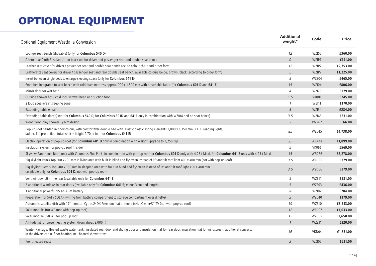| Optional Equipment Westfalia Conversion                                                                                                                                                                                             | <b>Additional</b><br>weight* | Code         | <b>Price</b> |
|-------------------------------------------------------------------------------------------------------------------------------------------------------------------------------------------------------------------------------------|------------------------------|--------------|--------------|
| Lounge Seat Bench (slideable) (only for Columbus 540 D)                                                                                                                                                                             | 12                           | <b>WZI55</b> | £360.00      |
| Alternative Cloth Roseland/titan black uni for driver and passenger seat and double seat bench                                                                                                                                      | $\mathcal{O}$                | WZIP1        | £141.00      |
| Leather seat cover for driver / passenger seat and double seat bench acc. to colour chart and order form                                                                                                                            | 12                           | WZIP2        | £2,753.00    |
| Leatherette seat covers for driver / passenger seat and rear double seat bench, available colours beige, brown, black (according to order form)                                                                                     | 5                            | WZIP7        | £1,225.00    |
| Insert between single beds to enlarge sleeping space (only for Columbus 641 E)                                                                                                                                                      | 8                            | WZZ04        | £465.00      |
| Front bed integrated to seat bench with cold foam mattress approx. 900 x 1,800 mm with breathable fabric (for Columbus 601 D and 641 E)                                                                                             | 15                           | WZI04        | £806.00      |
| Mirror door for wet bath                                                                                                                                                                                                            | $\overline{4}$               | <b>WZI25</b> | £379.00      |
| Outside shower hot / cold incl. shower head and suction foot                                                                                                                                                                        | 1.5                          | <b>VK001</b> | £245.00      |
| 2 loud speakers in sleeping zone                                                                                                                                                                                                    | $\mathcal{I}$                | <b>WZI11</b> | £170.00      |
| Extending table (small)                                                                                                                                                                                                             | $\overline{3}$               | <b>WZI34</b> | £284.00      |
| Extending table (large) (not for Columbus 540 D, for Columbus 601D and 641E only in combination with WZI04 bed on seat bench)                                                                                                       | 3.5                          | <b>WZI45</b> | £331.00      |
| Wood floor inlay shower - yacht design                                                                                                                                                                                              | $\overline{2}$               | <b>WZZ62</b> | £66.00       |
| Pop-up roof painted in body colour, with comfortable double bed with elastic plastic spring elements 2,000 x 1,350 mm, 2 LED reading lights,<br>ladder, fall protection, total vehicle height 2.70 m (not for Columbus 641 E)       | 85                           | WZD15        | £4,738.00    |
| Electric operation of pop-up roof (for <b>Columbus 601 D</b> only in combination with weight upgrade to 4,250 kg)                                                                                                                   | 25                           | WZA44        | £1,899.00    |
| Insulation system for pop-up roof (inside)                                                                                                                                                                                          | 5                            | <b>VK066</b> | £569.00      |
| Skyview Panoramic Roof, only with Columbus Plus Pack, in combination with pop-up roof for Columbus 601 D only with 4.25 t Maxi, for Columbus 641 E only with 4.25 t Maxi                                                            | 15                           | WZD66        | £2,278.00    |
| Big skylight Remis-Top 500 x 700 mm in living area with built-in blind and flyscreen instead of lift and tilt roof light 400 x 400 mm (not with pop-up roof)                                                                        | 3.5                          | WZD05        | £379.00      |
| Big skylight Remis-Top 500 x 700 mm in sleeping area with built-in blind and flyscreen instead of lift and tilt roof light 400 x 400 mm<br>(available only for Columbus 601 D, not with pop-up roof)                                | 3.5                          | WZD06        | £379.00      |
| Vent window LH in the rear (available only for Columbus 641 E)                                                                                                                                                                      | 5                            | WZE11        | £331.00      |
| 2 additional windows in rear doors (available only for Columbus 641 E; minus 3 cm bed length)                                                                                                                                       | 5                            | WZE03        | £436.00      |
| 1 additional powerful 95 Ah AGM battery                                                                                                                                                                                             | 30                           | <b>WZI02</b> | £284.00      |
| Preparation for SAT / SOLAR (wiring from battery compartment to storage compartment over dinette)                                                                                                                                   | 3                            | WZD10        | £179.00      |
| Automatic satellite dish with 19" monitor, Cytrac® DX Premium, flat antenna inkl. "Oyster®" TV (not with pop-up roof)                                                                                                               | 19                           | WZE10        | £3,513.00    |
| Solar module 100 WP (not with pop-up roof)                                                                                                                                                                                          | 12                           | WZD07        | £1,033.00    |
| Solar module 350 WP for pop-up roof                                                                                                                                                                                                 | 15                           | WZD55        | £2,658.00    |
| Altitude kit for diesel heating system (from about 2,000m)                                                                                                                                                                          | $\mathcal{I}$                | WZZ11        | £320.00      |
| Winter Package: Heated waste water tank, insulated rear door and sliding door and insulation mat for rear door, insulation mat for windscreen, additional convector<br>in the drivers cabin, floor heating incl. heated shower tray | 16                           | VKD04        | £1,651.00    |
| Front heated seats                                                                                                                                                                                                                  | $\overline{3}$               | <b>WZI05</b> | £521.00      |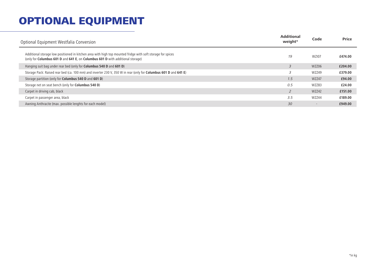| Optional Equipment Westfalia Conversion                                                                                                                                                       | <b>Additional</b><br>weight* | Code         | <b>Price</b> |
|-----------------------------------------------------------------------------------------------------------------------------------------------------------------------------------------------|------------------------------|--------------|--------------|
| Additional storage low positioned in kitchen area with high top mounted fridge with soft storage for spices<br>(only for Columbus 601 D and 641 E, on Columbus 601 D with additional storage) | 19                           | <b>WZI07</b> | £474.00      |
| Hanging suit bag under rear bed (only for Columbus 540 D and 601 D)                                                                                                                           |                              | <b>WZZ06</b> | £204.00      |
| Storage Pack: Raised rear bed (ca. 100 mm) and inverter 230 V, 350 W in rear (only for Columbus 601 D and 641 E)                                                                              | 3                            | WZZ49        | £379.00      |
| Storage partition (only for <b>Columbus 540 D</b> and <b>601 D</b> )                                                                                                                          | 1.5                          | WZZ47        | £94.00       |
| Storage net on seat bench (only for <b>Columbus 540 D</b> )                                                                                                                                   | 0.5                          | WZZ83        | £24.00       |
| Carpet in driving cab, black                                                                                                                                                                  |                              | WZZ42        | £151.00      |
| Carpet in passenger area, black                                                                                                                                                               | 3.5                          | WZZ44        | £189.00      |
| Awning Anthracite (max. possible lenghts for each model)                                                                                                                                      | 30                           |              | £949.00      |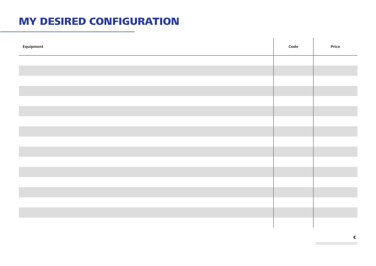#### MY DESIRED CONFIGURATION

| Equipment | Code | Price |
|-----------|------|-------|
|           |      |       |
|           |      |       |
|           |      |       |
|           |      |       |
|           |      |       |
|           |      |       |
|           |      |       |
|           |      |       |
|           |      |       |
|           |      |       |
|           |      |       |
|           |      |       |
|           |      |       |
|           |      |       |
|           |      |       |
|           |      |       |
|           |      |       |